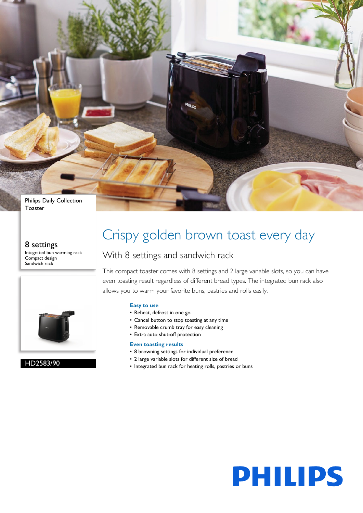Philips Daily Collection Toaster

#### 8 settings

Integrated bun warming rack Compact design Sandwich rack



#### HD2583/90

# Crispy golden brown toast every day

### With 8 settings and sandwich rack

This compact toaster comes with 8 settings and 2 large variable slots, so you can have even toasting result regardless of different bread types. The integrated bun rack also allows you to warm your favorite buns, pastries and rolls easily.

#### **Easy to use**

- Reheat, defrost in one go
- Cancel button to stop toasting at any time
- Removable crumb tray for easy cleaning
- Extra auto shut-off protection

#### **Even toasting results**

- 8 browning settings for individual preference
- 2 large variable slots for different size of bread
- Integrated bun rack for heating rolls, pastries or buns

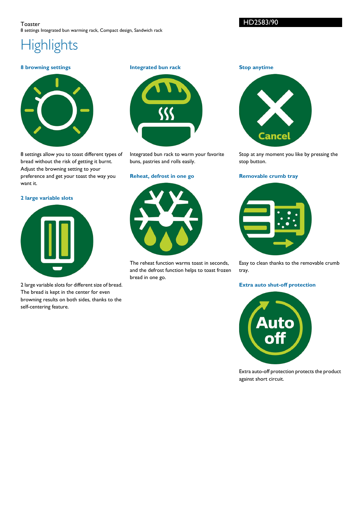HD2583/90

## **Highlights**

#### **8 browning settings**



8 settings allow you to toast different types of bread without the risk of getting it burnt. Adjust the browning setting to your preference and get your toast the way you want it.

**2 large variable slots**



2 large variable slots for different size of bread. The bread is kept in the center for even browning results on both sides, thanks to the self-centering feature.

**Integrated bun rack**



Integrated bun rack to warm your favorite buns, pastries and rolls easily.

#### **Reheat, defrost in one go**



The reheat function warms toast in seconds, and the defrost function helps to toast frozen bread in one go.

**Stop anytime**



Stop at any moment you like by pressing the stop button.

#### **Removable crumb tray**



Easy to clean thanks to the removable crumb tray.

#### **Extra auto shut-off protection**



Extra auto-off protection protects the product against short circuit.